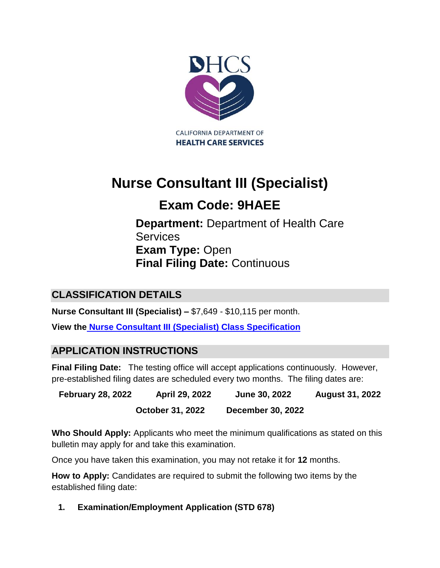

# **Nurse Consultant III (Specialist)**

# Exam Code: 9HAEE

**Department: Department of Health Care Services Exam Type:** Open **Final Filing Date:** Continuous Services<br>Evem Type: Open

# **CLASSIFICATION DETAILS** CLASSIFICATION DETAILS

**Nurse Consultant III (Specialist) – \$7,649 - \$10,115 per month.** 

**View the [Nurse Consultant III \(Specialist\)](https://www.calhr.ca.gov/state-hr-professionals/pages/8197.aspx) Class Specification** 

## **APPLICATION INSTRUCTIONS**

**Final Filing Date:** The testing office will accept applications continuously. However, pre-established filing dates are scheduled every two months. The filing dates are:

**February 28, 2022 April 29, 2022 June 30, 2022 August 31, 2022**  February 28, 2022 April 29, 2022 June 30, 2022 August 31, 2022 December 30, 2022 October 31. 2022

**Who Should Apply:** Applicants who meet the minimum qualifications as stated on this bulletin may apply for and take this examination.

Once you have taken this examination, you may not retake it for **12** months. Once vou have taken this examination, vou may not retake it for 12 months.

How to Apply: Candidates are required to submit the following two items by the established filing date:

**1. Examination/Employment Application (STD 678)** 1. Examination/Emplovment Application (STD 678)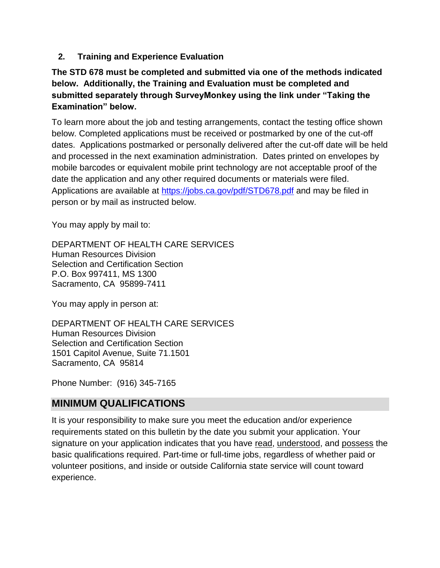**2. Training and Experience Evaluation** 2. Training and Experience Evaluation

### **The STD 678 must be completed and submitted via one of the methods indicated**  The STD 678 must be completed and submitted via one of the methods indicated below. below. Additionally, the Training and Evaluation must be completed and submitted separately through SurveyMonkey using the link under "Taking the **Examination" below.**

To learn more about the job and testing arrangements, contact the testing office shown below. Completed applications must be received or postmarked by one of the cut-off dates. Applications postmarked or personally delivered after the cut-off date will be held and processed in the next examination administration. Dates printed on envelopes by mobile barcodes or equivalent mobile print technology are not acceptable proof of the date the application and any other required documents or materials were filed. Applications are available at <https://jobs.ca.gov/pdf/STD678.pdf> and may be filed in person or by mail as instructed below. person or by mail as instructed below.

You may apply by mail to: You may apply by mail to:

DEPARTMENT OF HEALTH CARE SERVICES DEPARTMENT OF HEALTH CARE SERVICES Human Resources Division Human Resources Division Selection and Certification Section Selection and Certification Section P.O. Box 997411, MS 1300 P.O. Box 997411. MS 1300 Sacramento, CA 95899-7411 Sacramento, CA 95899-7411

You may apply in person at: You may apply in person at:

DEPARTMENT OF HEALTH CARE SERVICES DEPARTMENT OF HEALTH CARE SERVICES Human Resources Division Human Resources Division Selection and Certification Section Selection and Certification Section 1501 Capitol Avenue, Suite 71.1501 1501 Capitol Avenue. Suite 71.150 Sacramento, CA 95814 Sacramento, CA 95814

Phone Number: (916) 345-7165 Phone Number: (916) 345-7165

## **MINIMUM QUALIFICATIONS** MINIMUM QUALIFICATIONS

It is your responsibility to make sure you meet the education and/or experience requirements stated on this bulletin by the date you submit your application. Your signature on your application indicates that you have read, understood, and possess the basic qualifications required. Part-time or full-time jobs, regardless of whether paid or volunteer positions, and inside or outside California state service will count toward experience.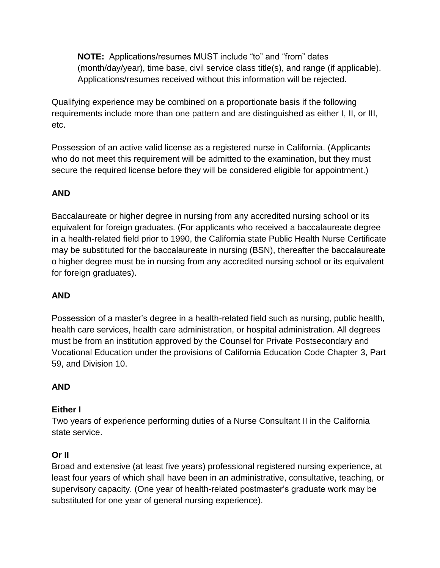**NOTE:** Applications/resumes MUST include "to" and "from" dates (month/day/year), time base, civil service class title(s), and range (if applicable). Applications/resumes received without this information will be rejected.

Qualifying experience may be combined on a proportionate basis if the following requirements include more than one pattern and are distinguished as either I, II, or III, etc.

Possession of an active valid license as a registered nurse in California. (Applicants who do not meet this requirement will be admitted to the examination, but they must secure the required license before they will be considered eligible for appointment.)

### **AND** AND

Baccalaureate or higher degree in nursing from any accredited nursing school or its equivalent for foreign graduates. (For applicants who received a baccalaureate degree in a health-related field prior to 1990, the California state Public Health Nurse Certificate may be substituted for the baccalaureate in nursing (BSN), thereafter the baccalaureate o higher degree must be in nursing from any accredited nursing school or its equivalent for foreign graduates).

#### **AND** AND

Possession of a master's degree in a health-related field such as nursing, public health, health care services, health care administration, or hospital administration. All degrees must be from an institution approved by the Counsel for Private Postsecondary and Vocational Education under the provisions of California Education Code Chapter 3, Part 59, and Division 10.

#### **AND** AND

#### **Either I** Either |

Two years of experience performing duties of a Nurse Consultant II in the California state service.

#### **Or II** Or |l

Broad and extensive (at least five years) professional registered nursing experience, at least four years of which shall have been in an administrative, consultative, teaching, or supervisory capacity. (One year of health-related postmaster's graduate work may be substituted for one year of general nursing experience).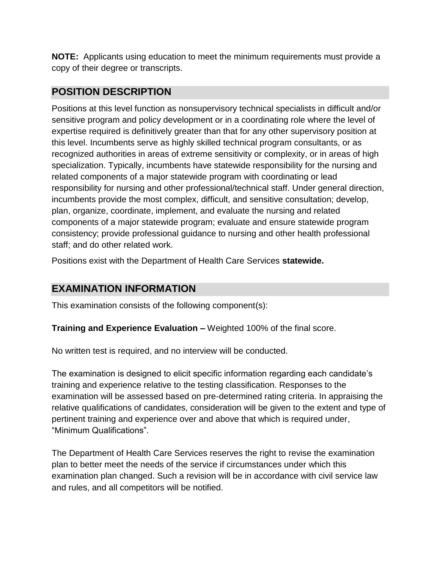**NOTE:** Applicants using education to meet the minimum requirements must provide a copy of their degree or transcripts.

## **POSITION DESCRIPTION** POSITION DESCRIPTION

Positions at this level function as nonsupervisory technical specialists in difficult and/or sensitive program and policy development or in a coordinating role where the level of expertise required is definitively greater than that for any other supervisory position at this level. Incumbents serve as highly skilled technical program consultants, or as recognized authorities in areas of extreme sensitivity or complexity, or in areas of high relative a surfation of a major of original components of a major specialization. Typically, incumbents have statewide responsibility for the nursing and related components of a major statewide program with coordinating or lead responsibility for nursing and other professional/technical staff. Under general direction, incumbents provide the most complex, difficult, and sensitive consultation; develop, plan, organize, coordinate, implement, and evaluate the nursing and related components of a major statewide program; evaluate and ensure statewide program consistency; provide professional guidance to nursing and other health professional staff; and do other related work. spooranzation. Typically, incumbents have state wide responsibility for the nursing and

Positions exist with the Department of Health Care Services **statewide.** Positions exist with the Department of Health Care Services statewide.

## **EXAMINATION INFORMATION** EXAMINATION INFORMATION

This examination consists of the following component(s): This examination consists of the following component(s):

**Training and Experience Evaluation –** Weighted 100% of the final score. Training and Experience Evaluation Weighted 100% of the final score.

No written test is required, and no interview will be conducted. No written test is required, and no interview will be conducted.

The examination is designed to elicit specific information regarding each candidate's training and experience relative to the testing classification. Responses to the examination will be assessed based on pre-determined rating criteria. In appraising the relative qualifications of candidates, consideration will be given to the extent and type of pertinent training and experience over and above that which is required under, "Minimum Qualifications".

The Department of Health Care Services reserves the right to revise the examination plan to better meet the needs of the service if circumstances under which this examination plan changed. Such a revision will be in accordance with civil service law and rules, and all competitors will be notified.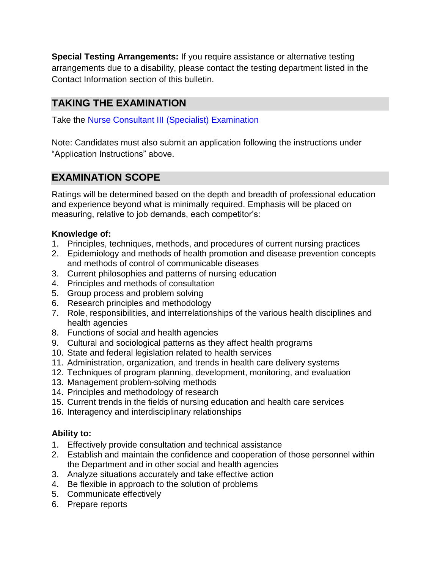**Special Testing Arrangements:** If you require assistance or alternative testing arrangements due to a disability, please contact the testing department listed in the Contact Information section of this bulletin.

# **TAKING THE EXAMINATION** TAKING THE EXAMINATION

Take the **[Nurse Consultant III \(Specialist\) Examination](https://www.surveymonkey.com/r/VQFZ3H9)** 

Note: Candidates must also submit an application following the instructions under "Application Instructions" above.

# **EXAMINATION SCOPE** EXAMINATION SCOPE

Ratings will be determined based on the depth and breadth of professional education and experience beyond what is minimally required. Emphasis will be placed on measuring, relative to job demands, each competitor's:

#### **Knowledge of:** Knowledge of:

- 1. Principles, techniques, methods, and procedures of current nursing practices
- 2. Epidemiology and methods of health promotion and disease prevention concepts and methods of control of communicable diseases
- 3. Current philosophies and patterns of nursing education 3. Current philosophies and patterns of nursing education
- 4. Principles and methods of consultation
- 5. Group process and problem solving
- 6. Research principles and methodology
- 7. Role, responsibilities, and interrelationships of the various health disciplines and health agencies
- 8. Functions of social and health agencies
- 9. Cultural and sociological patterns as they affect health programs
- 10. State and federal legislation related to health services
- 11. Administration, organization, and trends in health care delivery systems 11. Administration, organization, and trends Iin heaith care delivery systems
- 12. Techniques of program planning, development, monitoring, and evaluation
- 13. Management problem-solving methods
- 14. Principles and methodology of research
- 15. Current trends in the fields of nursing education and health care services 15. Current trends in the fields of nursing education and health care services
- 16. Interagency and interdisciplinary relationships 106. Interagency and interaisciplinary relationships

#### **Ability to:** Ability to:

- 1. Effectively provide consultation and technical assistance
- 2. Establish and maintain the confidence and cooperation of those personnel within the Department and in other social and health agencies
- 3. Analyze situations accurately and take effective action 3. Analyze situations accurately and take effective action
- 4. Be flexible in approach to the solution of problems Be flexible in approach to the solution of problems
- 5. Communicate effectively Lommunicate efiectively
- 6. Prepare reports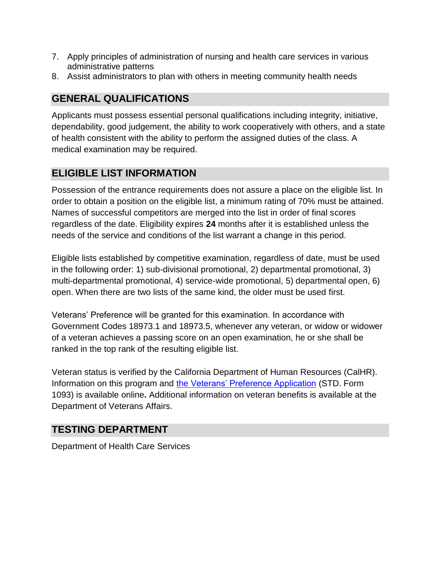- 7. Apply principles of administration of nursing and health care services in various 7. Apply principles of administration of nursing and health care services in various administrative patterns patterns  $\mathfrak{g}$
- 8. Assist administrators to plan with others in meeting community health needs

## **GENERAL QUALIFICATIONS** GENERAL QUALIFICATIONS

Applicants must possess essential personal qualifications including integrity, initiative, dependability, good judgement, the ability to work cooperatively with others, and a state of health consistent with the ability to perform the assigned duties of the class. A medical examination may be required.

# **ELIGIBLE LIST INFORMATION** ELIGIBLE LIST INFORMATION

Possession of the entrance requirements does not assure a place on the eligible list. In order to obtain a position on the eligible list, a minimum rating of 70% must be attained. Names of successful competitors are merged into the list in order of final scores regardless of the date. Eligibility expires 24 months after it is established unless the needs of the service and conditions of the list warrant a change in this period. list warrant a change in this period.

Eligible lists established by competitive examination, regardless of date, must be used in the following order: 1) sub-divisional promotional, 2) departmental promotional, 3) multi-departmental promotional, 4) service-wide promotional, 5) departmental open, 6) open. When there are two lists of the same kind, the older must be used first.

Veterans' Preference will be granted for this examination. In accordance with Government Codes 18973.1 and 18973.5, whenever any veteran, or widow or widower of a veteran achieves a passing score on an open examination, he or she shall be ranked in the top rank of the resulting eligible list.

Veteran status is verified by the California Department of Human Resources (CalHR). Veteran status is verified by the California Department of Human Resources (CalHR). Information on this program and the [Veterans' Preference Application](https://www.jobs.ca.gov/CalHRPublic/Landing/Jobs/VeteransInformation.aspx) (STD. Form 1093) is available online. Additional information on veteran benefits is available at the Department of Veterans Affairs.

# **TESTING DEPARTMENT** TESTING DEPARTMENT

Department of Health Care Services Department of Health Care Services